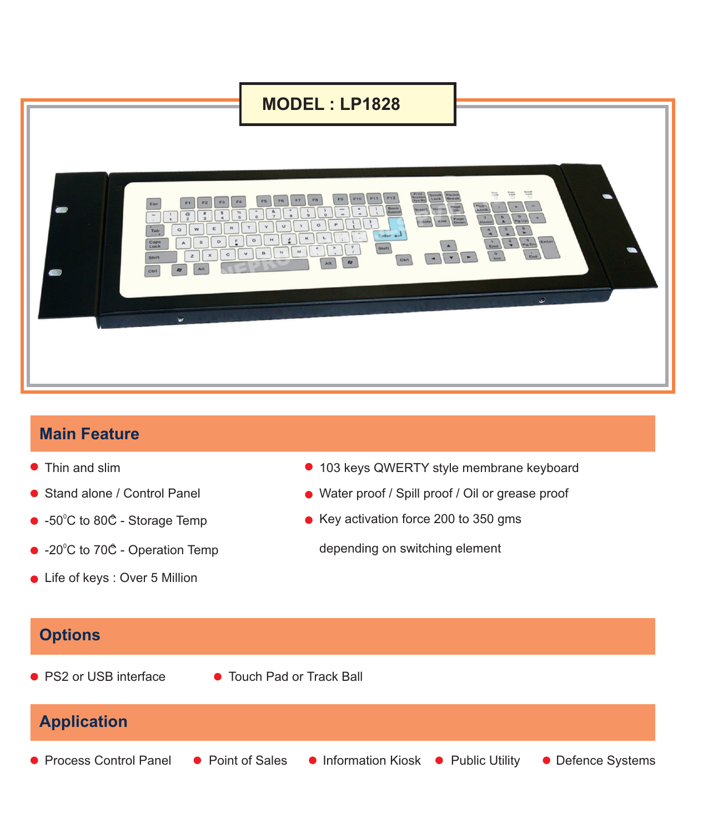## **MODEL : LP1828**



## **Main Feature**

- 
- 
- -50 $^{\circ}$ C to 80 $\mathring{\mathbb{C}}$  Storage Temp
- -20 $^{\circ}$ C to 70 $^{\circ}$  Operation Temp
- Life of keys : Over 5 Million
- Thin and slim 2000 and slim 2000 and slim 2000 and 2000 and 2000 and 2000 and 2000 and 2000 and 2000 and 2000 and 2000 and 2000 and 2000 and 2000 and 2000 and 2000 and 2000 and 2000 and 2000 and 2000 and 2000 and 2000 a
- Stand alone / Control Panel Water proof / Spill proof / Oil or grease proof
	- $\bullet$  Key activation force 200 to 350 gms

depending on switching element

## **Options Application** ● PS2 or USB interface ● Touch Pad or Track Ball • Process Control Panel • Point of Sales • Information Kiosk • Public Utility • Defence Systems